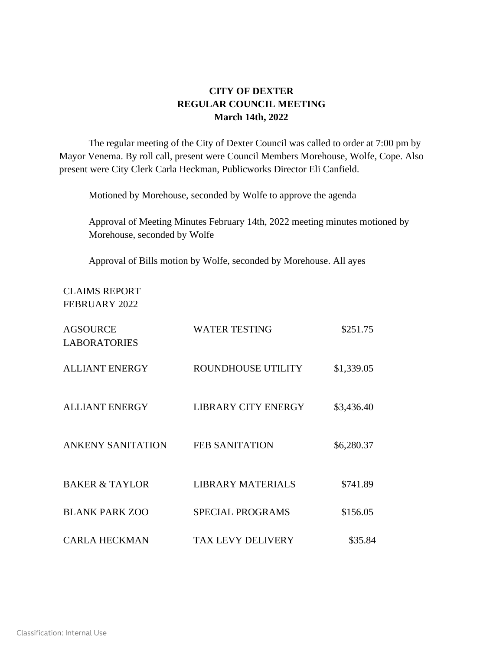## **CITY OF DEXTER REGULAR COUNCIL MEETING March 14th, 2022**

The regular meeting of the City of Dexter Council was called to order at 7:00 pm by Mayor Venema. By roll call, present were Council Members Morehouse, Wolfe, Cope. Also present were City Clerk Carla Heckman, Publicworks Director Eli Canfield.

Motioned by Morehouse, seconded by Wolfe to approve the agenda

Approval of Meeting Minutes February 14th, 2022 meeting minutes motioned by Morehouse, seconded by Wolfe

Approval of Bills motion by Wolfe, seconded by Morehouse. All ayes

## CLAIMS REPORT FEBRUARY 2022

| <b>AGSOURCE</b><br><b>LABORATORIES</b> | <b>WATER TESTING</b>       | \$251.75   |
|----------------------------------------|----------------------------|------------|
| <b>ALLIANT ENERGY</b>                  | ROUNDHOUSE UTILITY         | \$1,339.05 |
| <b>ALLIANT ENERGY</b>                  | <b>LIBRARY CITY ENERGY</b> | \$3,436.40 |
| <b>ANKENY SANITATION</b>               | <b>FEB SANITATION</b>      | \$6,280.37 |
| <b>BAKER &amp; TAYLOR</b>              | <b>LIBRARY MATERIALS</b>   | \$741.89   |
| <b>BLANK PARK ZOO</b>                  | <b>SPECIAL PROGRAMS</b>    | \$156.05   |
| <b>CARLA HECKMAN</b>                   | <b>TAX LEVY DELIVERY</b>   | \$35.84    |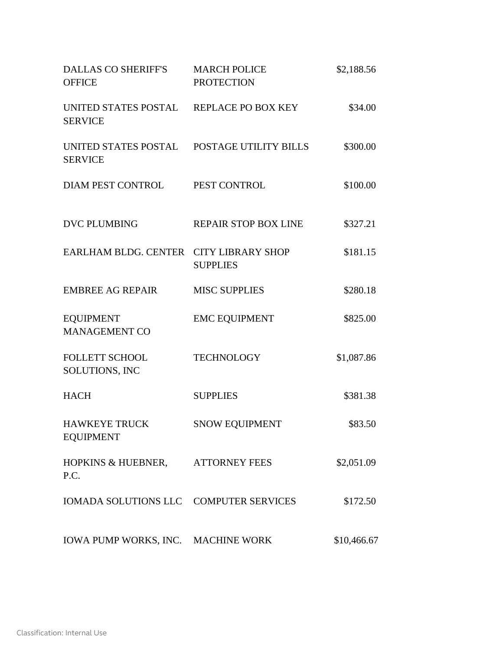| DALLAS CO SHERIFF'S MARCH POLICE<br><b>OFFICE</b>            | <b>PROTECTION</b>           | \$2,188.56  |  |
|--------------------------------------------------------------|-----------------------------|-------------|--|
| UNITED STATES POSTAL REPLACE PO BOX KEY<br><b>SERVICE</b>    |                             | \$34.00     |  |
| UNITED STATES POSTAL POSTAGE UTILITY BILLS<br><b>SERVICE</b> |                             | \$300.00    |  |
| DIAM PEST CONTROL PEST CONTROL                               |                             | \$100.00    |  |
| <b>DVC PLUMBING</b>                                          | <b>REPAIR STOP BOX LINE</b> | \$327.21    |  |
| EARLHAM BLDG. CENTER CITY LIBRARY SHOP                       | <b>SUPPLIES</b>             | \$181.15    |  |
| <b>EMBREE AG REPAIR</b>                                      | <b>MISC SUPPLIES</b>        | \$280.18    |  |
| <b>EQUIPMENT</b><br><b>MANAGEMENT CO</b>                     | <b>EMC EQUIPMENT</b>        | \$825.00    |  |
| <b>FOLLETT SCHOOL</b><br>SOLUTIONS, INC                      | <b>TECHNOLOGY</b>           | \$1,087.86  |  |
| <b>HACH</b>                                                  | <b>SUPPLIES</b>             | \$381.38    |  |
| <b>HAWKEYE TRUCK</b><br><b>EQUIPMENT</b>                     | <b>SNOW EQUIPMENT</b>       | \$83.50     |  |
| HOPKINS & HUEBNER, ATTORNEY FEES<br>P.C.                     |                             | \$2,051.09  |  |
| <b>IOMADA SOLUTIONS LLC</b>                                  | <b>COMPUTER SERVICES</b>    | \$172.50    |  |
| IOWA PUMP WORKS, INC. MACHINE WORK                           |                             | \$10,466.67 |  |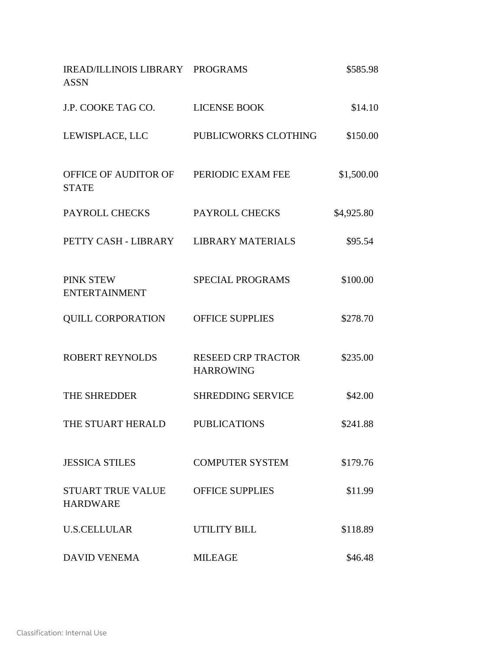| IREAD/ILLINOIS LIBRARY PROGRAMS<br><b>ASSN</b>         |                                               | \$585.98   |
|--------------------------------------------------------|-----------------------------------------------|------------|
| J.P. COOKE TAG CO.                                     | <b>LICENSE BOOK</b>                           | \$14.10    |
| LEWISPLACE, LLC                                        | PUBLICWORKS CLOTHING                          | \$150.00   |
| OFFICE OF AUDITOR OF PERIODIC EXAM FEE<br><b>STATE</b> |                                               | \$1,500.00 |
| PAYROLL CHECKS                                         | PAYROLL CHECKS                                | \$4,925.80 |
| PETTY CASH - LIBRARY LIBRARY MATERIALS                 |                                               | \$95.54    |
| <b>PINK STEW</b><br><b>ENTERTAINMENT</b>               | <b>SPECIAL PROGRAMS</b>                       | \$100.00   |
| <b>QUILL CORPORATION</b>                               | <b>OFFICE SUPPLIES</b>                        | \$278.70   |
| <b>ROBERT REYNOLDS</b>                                 | <b>RESEED CRP TRACTOR</b><br><b>HARROWING</b> | \$235.00   |
| THE SHREDDER                                           | <b>SHREDDING SERVICE</b>                      | \$42.00    |
| THE STUART HERALD                                      | <b>PUBLICATIONS</b>                           | \$241.88   |
| <b>JESSICA STILES</b>                                  | <b>COMPUTER SYSTEM</b>                        | \$179.76   |
| <b>STUART TRUE VALUE</b><br><b>HARDWARE</b>            | <b>OFFICE SUPPLIES</b>                        | \$11.99    |
| <b>U.S.CELLULAR</b>                                    | <b>UTILITY BILL</b>                           | \$118.89   |
| <b>DAVID VENEMA</b>                                    | <b>MILEAGE</b>                                | \$46.48    |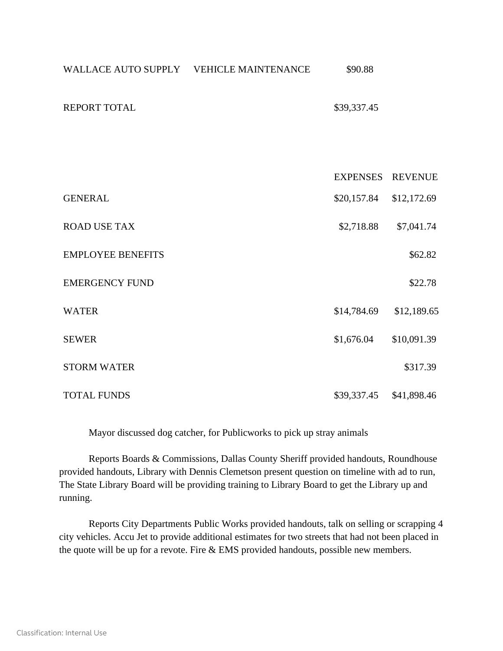| WALLACE AUTO SUPPLY VEHICLE MAINTENANCE | \$90.88         |                |
|-----------------------------------------|-----------------|----------------|
| <b>REPORT TOTAL</b>                     | \$39,337.45     |                |
|                                         |                 |                |
|                                         | <b>EXPENSES</b> | <b>REVENUE</b> |
| <b>GENERAL</b>                          | \$20,157.84     | \$12,172.69    |
| <b>ROAD USE TAX</b>                     | \$2,718.88      | \$7,041.74     |
| <b>EMPLOYEE BENEFITS</b>                |                 | \$62.82        |
| <b>EMERGENCY FUND</b>                   |                 | \$22.78        |
| <b>WATER</b>                            | \$14,784.69     | \$12,189.65    |
| <b>SEWER</b>                            | \$1,676.04      | \$10,091.39    |
| <b>STORM WATER</b>                      |                 | \$317.39       |
| <b>TOTAL FUNDS</b>                      | \$39,337.45     | \$41,898.46    |

Mayor discussed dog catcher, for Publicworks to pick up stray animals

Reports Boards & Commissions, Dallas County Sheriff provided handouts, Roundhouse provided handouts, Library with Dennis Clemetson present question on timeline with ad to run, The State Library Board will be providing training to Library Board to get the Library up and running.

Reports City Departments Public Works provided handouts, talk on selling or scrapping 4 city vehicles. Accu Jet to provide additional estimates for two streets that had not been placed in the quote will be up for a revote. Fire & EMS provided handouts, possible new members.